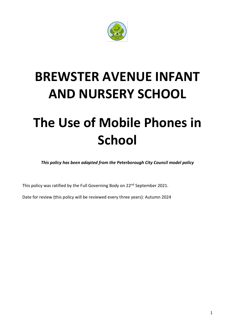

# **BREWSTER AVENUE INFANT AND NURSERY SCHOOL**

# **The Use of Mobile Phones in School**

*This policy has been adapted from the Peterborough City Council model policy*

This policy was ratified by the Full Governing Body on 22<sup>nd</sup> September 2021.

Date for review (this policy will be reviewed every three years): Autumn 2024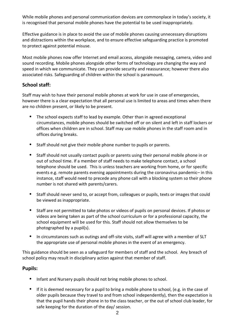While mobile phones and personal communication devices are commonplace in today's society, it is recognised that personal mobile phones have the potential to be used inappropriately.

Effective guidance is in place to avoid the use of mobile phones causing unnecessary disruptions and distractions within the workplace, and to ensure effective safeguarding practice is promoted to protect against potential misuse.

Most mobile phones now offer Internet and email access, alongside messaging, camera, video and sound recording. Mobile phones alongside other forms of technology are changing the way and speed in which we communicate. They can provide security and reassurance; however there also associated risks. Safeguarding of children within the school is paramount.

## **School staff:**

Staff may wish to have their personal mobile phones at work for use in case of emergencies, however there is a clear expectation that all personal use is limited to areas and times when there are no children present, or likely to be present.

- **•** The school expects staff to lead by example. Other than in agreed exceptional circumstances, mobile phones should be switched off or on silent and left in staff lockers or offices when children are in school. Staff may use mobile phones in the staff room and in offices during breaks.
- **•** Staff should not give their mobile phone number to pupils or parents.
- **•** Staff should not usually contact pupils or parents using their personal mobile phone in or out of school time. If a member of staff needs to make telephone contact, a school telephone should be used. This is unless teachers are working from home, or for specific events e.g. remote parents evening appointments during the coronavirus pandemic– in this instance, staff would need to precede any phone call with a blocking system so their phone number is not shared with parents/carers.
- **•** Staff should never send to, or accept from, colleagues or pupils, texts or images that could be viewed as inappropriate.
- **•** Staff are not permitted to take photos or videos of pupils on personal devices. If photos or videos are being taken as part of the school curriculum or for a professional capacity, the school equipment will be used for this. Staff should not allow themselves to be photographed by a pupil(s).
- **•** In circumstances such as outings and off-site visits, staff will agree with a member of SLT the appropriate use of personal mobile phones in the event of an emergency.

This guidance should be seen as a safeguard for members of staff and the school. Any breach of school policy may result in disciplinary action against that member of staff.

#### **Pupils:**

- **•** Infant and Nursery pupils should not bring mobile phones to school.
- **•** If it is deemed necessary for a pupil to bring a mobile phone to school, (e.g. in the case of older pupils because they travel to and from school independently), then the expectation is that the pupil hands their phone in to the class teacher, or the out of school club leader, for safe keeping for the duration of the day/ session.